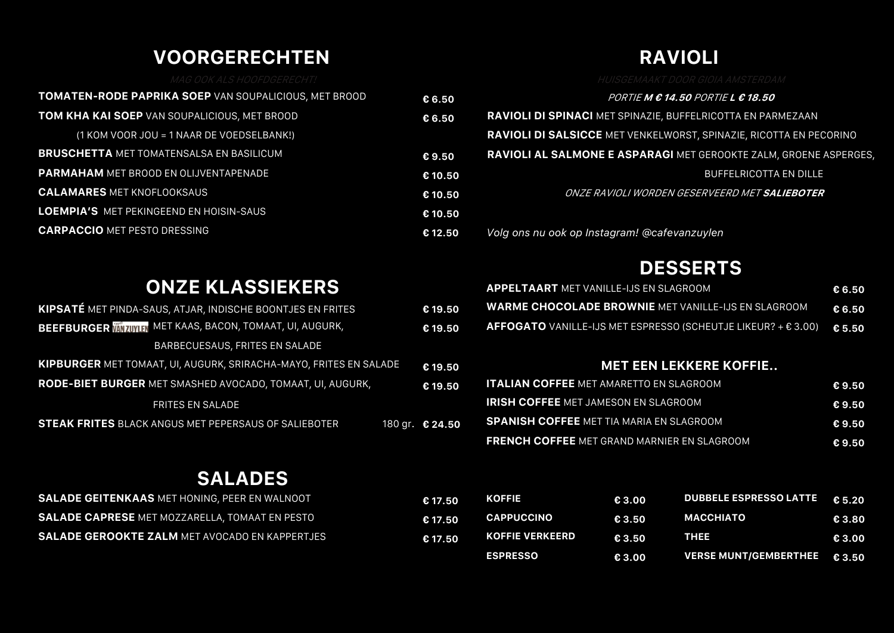## **VOORGERECHTEN**

| <b>TOMATEN-RODE PAPRIKA SOEP VAN SOUPALICIOUS, MET BROOD</b> | $\epsilon$ 6.50 | <i>PORTIE M € 14.50 PORTIE L € 18.50</i>                                  |
|--------------------------------------------------------------|-----------------|---------------------------------------------------------------------------|
| <b>TOM KHA KAI SOEP VAN SOUPALICIOUS, MET BROOD</b>          | € 6.50          | RAVIOLI DI SPINACI MET SPINAZIE, BUFFELRICOTTA EN PARMEZAAN               |
| (1 KOM VOOR JOU = 1 NAAR DE VOEDSELBANK!)                    |                 | <b>RAVIOLI DI SALSICCE</b> MET VENKELWORST, SPINAZIE, RICOTTA EN PECORINO |
| <b>BRUSCHETTA MET TOMATENSALSA EN BASILICUM</b>              | € 9.50          | RAVIOLI AL SALMONE E ASPARAGI MET GEROOKTE ZALM, GROENE ASPERGES,         |
| <b>PARMAHAM MET BROOD EN OLIJVENTAPENADE</b>                 | € 10.50         | <b>BUFFELRICOTTA EN DILLE</b>                                             |
| <b>CALAMARES MET KNOFLOOKSAUS</b>                            | € 10.50         | ONZE RAVIOLI WORDEN GESERVEERD MET <b>SALIEBOTER</b>                      |
| <b>LOEMPIA'S MET PEKINGEEND EN HOISIN-SAUS</b>               | € 10.50         |                                                                           |
| <b>CARPACCIO MET PESTO DRESSING</b>                          | € 12.50         | Volg ons nu ook op Instagram! @cafevanzuylen                              |
|                                                              |                 |                                                                           |

# **DESSERTS**

**RAVIOLI**

|    | <b>APPELTAART</b> MET VANILLE-IJS EN SLAGROOM                                 | €6.50  |
|----|-------------------------------------------------------------------------------|--------|
| 50 | <u>  WARME CHOCOLADE BROWNIE MET VANILLE-IJS EN SLAGROOM,</u>                 | €6.50  |
| 50 | <b>AFFOGATO</b> VANILLE-IJS MET ESPRESSO (SCHEUTJE LIKEUR? + $\epsilon$ 3.00) | € 5.50 |

#### **MET EEN LEKKERE KOFFIE..**

| .50 | <b>ITALIAN COFFEE MET AMARETTO EN SLAGROOM</b>     | €9.50 |
|-----|----------------------------------------------------|-------|
|     | <b>IRISH COFFEE MET JAMESON EN SLAGROOM</b>        | €9.50 |
| .50 | <b>SPANISH COFFEE MET TIA MARIA EN SLAGROOM</b>    | €9.50 |
|     | <b>FRENCH COFFEE MET GRAND MARNIER EN SLAGROOM</b> | €9.50 |

## **SALADES**

| <b>SALADE GEITENKAAS MET HONING, PEER EN WALNOOT</b>  | € 17.50 | <b>KOFFIE</b>          | E 3.00 | DUBBELE ESPRESSO LATTE 6 5.20 |        |
|-------------------------------------------------------|---------|------------------------|--------|-------------------------------|--------|
| <b>SALADE CAPRESE</b> MET MOZZARELLA, TOMAAT EN PESTO | € 17.50 | <b>CAPPUCCINO</b>      | E3.50  | <b>MACCHIATO</b>              | € 3.80 |
| <b>SALADE GEROOKTE ZALM MET AVOCADO EN KAPPERTJES</b> | € 17.50 | <b>KOFFIE VERKEERD</b> | € 3.50 | THEE                          | € 3.00 |
|                                                       |         | <b>ESPRESSO</b>        | € 3.00 | <b>VERSE MUNT/GEMBERTHEE</b>  | € 3.50 |

## **ONZE KLASSIEKERS**

| <b>KIPSATE</b> MET PINDA-SAUS, ATJAR, INDISCHE BOONTJES EN FRITES        |  | €19.50          |  |  |
|--------------------------------------------------------------------------|--|-----------------|--|--|
| <b>BEEFBURGER MIZUYER MET KAAS, BACON, TOMAAT, UI, AUGURK,</b>           |  |                 |  |  |
| BARBECUESAUS, FRITES EN SALADE                                           |  |                 |  |  |
| <b>KIPBURGER MET TOMAAT, UI, AUGURK, SRIRACHA-MAYO, FRITES EN SALADE</b> |  |                 |  |  |
| RODE-BIET BURGER MET SMASHED AVOCADO, TOMAAT, UI, AUGURK,                |  |                 |  |  |
| <b>FRITES EN SALADE</b>                                                  |  |                 |  |  |
| <b>STEAK FRITES BLACK ANGUS MET PEPERSAUS OF SALIEBOTER</b>              |  | 180 gr. € 24.50 |  |  |
|                                                                          |  |                 |  |  |